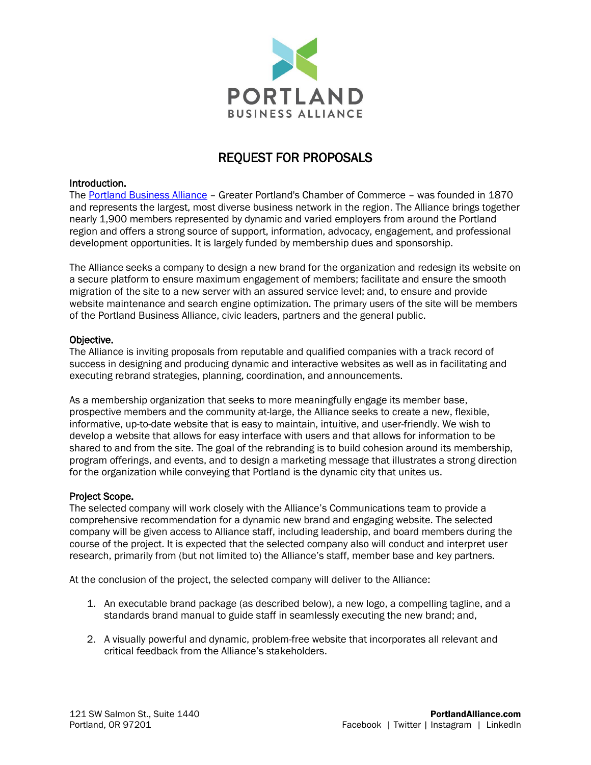

# REQUEST FOR PROPOSALS

#### Introduction.

The [Portland Business Alliance](https://portlandalliance.com/) – Greater Portland's Chamber of Commerce – was founded in 1870 and represents the largest, most diverse business network in the region. The Alliance brings together nearly 1,900 members represented by dynamic and varied employers from around the Portland region and offers a strong source of support, information, advocacy, engagement, and professional development opportunities. It is largely funded by membership dues and sponsorship.

The Alliance seeks a company to design a new brand for the organization and redesign its website on a secure platform to ensure maximum engagement of members; facilitate and ensure the smooth migration of the site to a new server with an assured service level; and, to ensure and provide website maintenance and search engine optimization. The primary users of the site will be members of the Portland Business Alliance, civic leaders, partners and the general public.

#### Objective.

The Alliance is inviting proposals from reputable and qualified companies with a track record of success in designing and producing dynamic and interactive websites as well as in facilitating and executing rebrand strategies, planning, coordination, and announcements.

As a membership organization that seeks to more meaningfully engage its member base, prospective members and the community at-large, the Alliance seeks to create a new, flexible, informative, up-to-date website that is easy to maintain, intuitive, and user-friendly. We wish to develop a website that allows for easy interface with users and that allows for information to be shared to and from the site. The goal of the rebranding is to build cohesion around its membership, program offerings, and events, and to design a marketing message that illustrates a strong direction for the organization while conveying that Portland is the dynamic city that unites us.

#### Project Scope.

The selected company will work closely with the Alliance's Communications team to provide a comprehensive recommendation for a dynamic new brand and engaging website. The selected company will be given access to Alliance staff, including leadership, and board members during the course of the project. It is expected that the selected company also will conduct and interpret user research, primarily from (but not limited to) the Alliance's staff, member base and key partners.

At the conclusion of the project, the selected company will deliver to the Alliance:

- 1. An executable brand package (as described below), a new logo, a compelling tagline, and a standards brand manual to guide staff in seamlessly executing the new brand; and,
- 2. A visually powerful and dynamic, problem-free website that incorporates all relevant and critical feedback from the Alliance's stakeholders.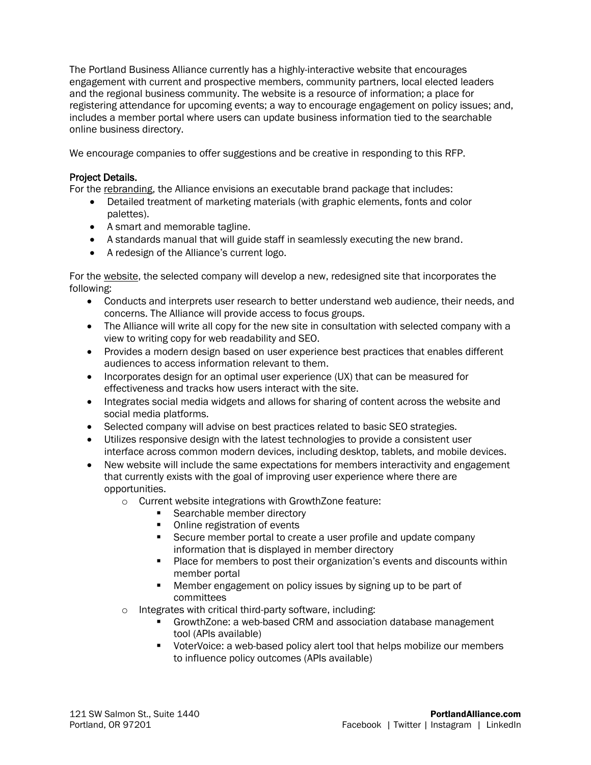The Portland Business Alliance currently has a highly-interactive website that encourages engagement with current and prospective members, community partners, local elected leaders and the regional business community. The website is a resource of information; a place for registering attendance for upcoming events; a way to encourage engagement on policy issues; and, includes a member portal where users can update business information tied to the searchable online business directory.

We encourage companies to offer suggestions and be creative in responding to this RFP.

# Project Details.

For the rebranding, the Alliance envisions an executable brand package that includes:

- Detailed treatment of marketing materials (with graphic elements, fonts and color palettes).
- A smart and memorable tagline.
- A standards manual that will guide staff in seamlessly executing the new brand.
- A redesign of the Alliance's current logo.

For the website, the selected company will develop a new, redesigned site that incorporates the following:

- Conducts and interprets user research to better understand web audience, their needs, and concerns. The Alliance will provide access to focus groups.
- The Alliance will write all copy for the new site in consultation with selected company with a view to writing copy for web readability and SEO.
- Provides a modern design based on user experience best practices that enables different audiences to access information relevant to them.
- Incorporates design for an optimal user experience (UX) that can be measured for effectiveness and tracks how users interact with the site.
- Integrates social media widgets and allows for sharing of content across the website and social media platforms.
- Selected company will advise on best practices related to basic SEO strategies.
- Utilizes responsive design with the latest technologies to provide a consistent user interface across common modern devices, including desktop, tablets, and mobile devices.
- New website will include the same expectations for members interactivity and engagement that currently exists with the goal of improving user experience where there are opportunities.
	- o Current website integrations with GrowthZone feature:
		- Searchable member directory
		- Online registration of events
		- Secure member portal to create a user profile and update company information that is displayed in member directory
		- **•** Place for members to post their organization's events and discounts within member portal
		- Member engagement on policy issues by signing up to be part of committees
	- o Integrates with critical third-party software, including:
		- GrowthZone: a web-based CRM and association database management tool (APIs available)
		- VoterVoice: a web-based policy alert tool that helps mobilize our members to influence policy outcomes (APIs available)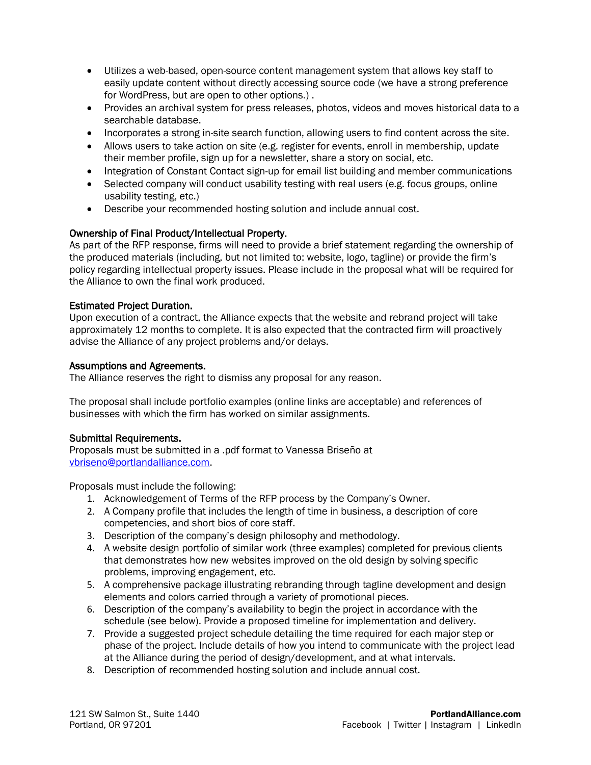- Utilizes a web-based, open-source content management system that allows key staff to easily update content without directly accessing source code (we have a strong preference for WordPress, but are open to other options.) .
- Provides an archival system for press releases, photos, videos and moves historical data to a searchable database.
- Incorporates a strong in-site search function, allowing users to find content across the site.
- Allows users to take action on site (e.g. register for events, enroll in membership, update their member profile, sign up for a newsletter, share a story on social, etc.
- Integration of Constant Contact sign-up for email list building and member communications
- Selected company will conduct usability testing with real users (e.g. focus groups, online usability testing, etc.)
- Describe your recommended hosting solution and include annual cost.

# Ownership of Final Product/Intellectual Property.

As part of the RFP response, firms will need to provide a brief statement regarding the ownership of the produced materials (including, but not limited to: website, logo, tagline) or provide the firm's policy regarding intellectual property issues. Please include in the proposal what will be required for the Alliance to own the final work produced.

## Estimated Project Duration.

Upon execution of a contract, the Alliance expects that the website and rebrand project will take approximately 12 months to complete. It is also expected that the contracted firm will proactively advise the Alliance of any project problems and/or delays.

#### Assumptions and Agreements.

The Alliance reserves the right to dismiss any proposal for any reason.

The proposal shall include portfolio examples (online links are acceptable) and references of businesses with which the firm has worked on similar assignments.

#### Submittal Requirements.

Proposals must be submitted in a .pdf format to Vanessa Briseño at [vbriseno@portlandalliance.com.](mailto:vbriseno@portlandalliance.com)

Proposals must include the following:

- 1. Acknowledgement of Terms of the RFP process by the Company's Owner.
- 2. A Company profile that includes the length of time in business, a description of core competencies, and short bios of core staff.
- 3. Description of the company's design philosophy and methodology.
- 4. A website design portfolio of similar work (three examples) completed for previous clients that demonstrates how new websites improved on the old design by solving specific problems, improving engagement, etc.
- 5. A comprehensive package illustrating rebranding through tagline development and design elements and colors carried through a variety of promotional pieces.
- 6. Description of the company's availability to begin the project in accordance with the schedule (see below). Provide a proposed timeline for implementation and delivery.
- 7. Provide a suggested project schedule detailing the time required for each major step or phase of the project. Include details of how you intend to communicate with the project lead at the Alliance during the period of design/development, and at what intervals.
- 8. Description of recommended hosting solution and include annual cost.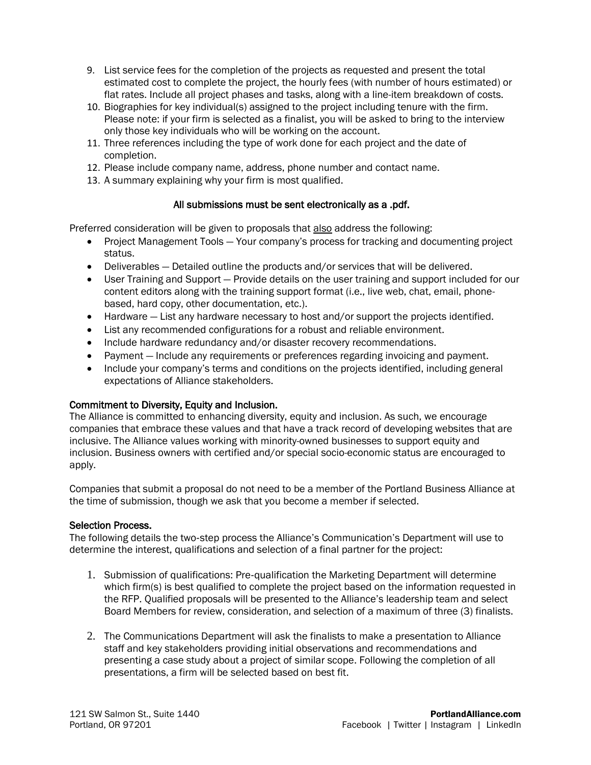- 9. List service fees for the completion of the projects as requested and present the total estimated cost to complete the project, the hourly fees (with number of hours estimated) or flat rates. Include all project phases and tasks, along with a line-item breakdown of costs.
- 10. Biographies for key individual(s) assigned to the project including tenure with the firm. Please note: if your firm is selected as a finalist, you will be asked to bring to the interview only those key individuals who will be working on the account.
- 11. Three references including the type of work done for each project and the date of completion.
- 12. Please include company name, address, phone number and contact name.
- 13. A summary explaining why your firm is most qualified.

# All submissions must be sent electronically as a .pdf.

Preferred consideration will be given to proposals that also address the following:

- Project Management Tools Your company's process for tracking and documenting project status.
- Deliverables Detailed outline the products and/or services that will be delivered.
- User Training and Support Provide details on the user training and support included for our content editors along with the training support format (i.e., live web, chat, email, phonebased, hard copy, other documentation, etc.).
- Hardware List any hardware necessary to host and/or support the projects identified.
- List any recommended configurations for a robust and reliable environment.
- Include hardware redundancy and/or disaster recovery recommendations.
- Payment Include any requirements or preferences regarding invoicing and payment.
- Include your company's terms and conditions on the projects identified, including general expectations of Alliance stakeholders.

# Commitment to Diversity, Equity and Inclusion.

The Alliance is committed to enhancing diversity, equity and inclusion. As such, we encourage companies that embrace these values and that have a track record of developing websites that are inclusive. The Alliance values working with minority-owned businesses to support equity and inclusion. Business owners with certified and/or special socio-economic status are encouraged to apply.

Companies that submit a proposal do not need to be a member of the Portland Business Alliance at the time of submission, though we ask that you become a member if selected.

# Selection Process.

The following details the two‐step process the Alliance's Communication's Department will use to determine the interest, qualifications and selection of a final partner for the project:

- 1. Submission of qualifications: Pre‐qualification the Marketing Department will determine which firm(s) is best qualified to complete the project based on the information requested in the RFP. Qualified proposals will be presented to the Alliance's leadership team and select Board Members for review, consideration, and selection of a maximum of three (3) finalists.
- 2. The Communications Department will ask the finalists to make a presentation to Alliance staff and key stakeholders providing initial observations and recommendations and presenting a case study about a project of similar scope. Following the completion of all presentations, a firm will be selected based on best fit.